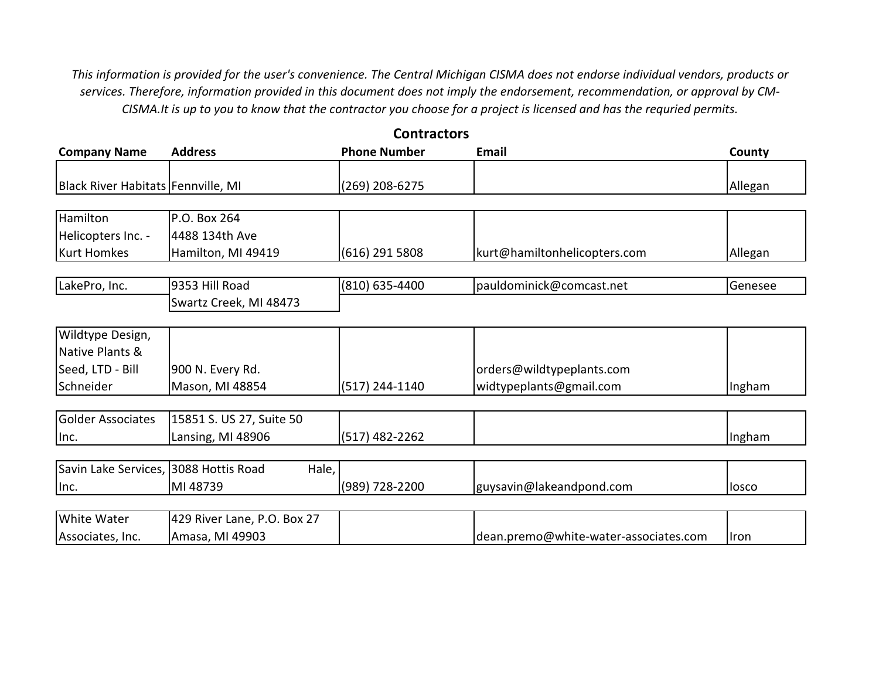*This information is provided for the user's convenience. The Central Michigan CISMA does not endorse individual vendors, products or services. Therefore, information provided in this document does not imply the endorsement, recommendation, or approval by CM-CISMA.It is up to you to know that the contractor you choose for a project is licensed and has the requried permits.*

**Contractors**

| <b>Address</b>                                 | <b>Phone Number</b> | Email                        | County  |
|------------------------------------------------|---------------------|------------------------------|---------|
|                                                |                     |                              |         |
|                                                |                     |                              |         |
| Black River Habitats Fennville, MI             | (269) 208-6275      |                              | Allegan |
|                                                |                     |                              |         |
| P.O. Box 264                                   |                     |                              |         |
| 4488 134th Ave                                 |                     |                              |         |
| Hamilton, MI 49419                             | (616) 291 5808      | kurt@hamiltonhelicopters.com | Allegan |
|                                                |                     |                              |         |
| 9353 Hill Road                                 | (810) 635-4400      | pauldominick@comcast.net     | Genesee |
| Swartz Creek, MI 48473                         |                     |                              |         |
|                                                |                     |                              |         |
|                                                |                     |                              |         |
|                                                |                     |                              |         |
| 900 N. Every Rd.                               |                     | orders@wildtypeplants.com    |         |
| Mason, MI 48854                                | (517) 244-1140      | widtypeplants@gmail.com      | Ingham  |
|                                                |                     |                              |         |
| 15851 S. US 27, Suite 50                       |                     |                              |         |
| Lansing, MI 48906                              | $(517)$ 482-2262    |                              | Ingham  |
|                                                |                     |                              |         |
| Savin Lake Services, 3088 Hottis Road<br>Hale, |                     |                              |         |
| MI 48739                                       | (989) 728-2200      | guysavin@lakeandpond.com     | losco   |
|                                                |                     |                              |         |

| <b>White Water</b> | . Box 27<br>429 River Lane, P.O. |                                       |              |
|--------------------|----------------------------------|---------------------------------------|--------------|
| Associates, Inc.   | Amasa, MI 49903                  | dean.premo@white-water-associates.com | <b>Ilron</b> |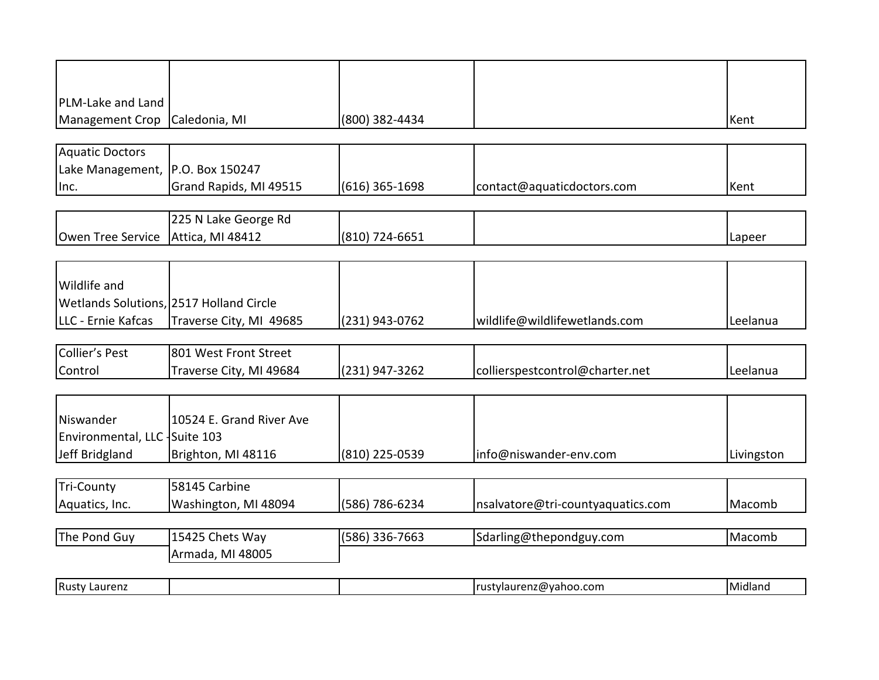| PLM-Lake and Land                |                                         |                |                                   |            |
|----------------------------------|-----------------------------------------|----------------|-----------------------------------|------------|
| Management Crop                  | Caledonia, MI                           | (800) 382-4434 |                                   | Kent       |
|                                  |                                         |                |                                   |            |
| <b>Aquatic Doctors</b>           |                                         |                |                                   |            |
| Lake Management, P.O. Box 150247 |                                         |                |                                   |            |
| Inc.                             | Grand Rapids, MI 49515                  | (616) 365-1698 | contact@aquaticdoctors.com        | Kent       |
|                                  |                                         |                |                                   |            |
|                                  | 225 N Lake George Rd                    |                |                                   |            |
| Owen Tree Service                | Attica, MI 48412                        | (810) 724-6651 |                                   | Lapeer     |
|                                  |                                         |                |                                   |            |
| <b>Wildlife and</b>              |                                         |                |                                   |            |
|                                  | Wetlands Solutions, 2517 Holland Circle |                |                                   |            |
| LLC - Ernie Kafcas               | Traverse City, MI 49685                 | (231) 943-0762 | wildlife@wildlifewetlands.com     | Leelanua   |
|                                  |                                         |                |                                   |            |
| <b>Collier's Pest</b>            | 801 West Front Street                   |                |                                   |            |
| Control                          | Traverse City, MI 49684                 | (231) 947-3262 | collierspestcontrol@charter.net   | Leelanua   |
|                                  |                                         |                |                                   |            |
|                                  |                                         |                |                                   |            |
| Niswander                        | 10524 E. Grand River Ave                |                |                                   |            |
| Environmental, LLC Suite 103     |                                         |                |                                   |            |
| Jeff Bridgland                   | Brighton, MI 48116                      | (810) 225-0539 | info@niswander-env.com            | Livingston |
|                                  |                                         |                |                                   |            |
| <b>Tri-County</b>                | 58145 Carbine                           |                |                                   |            |
| Aquatics, Inc.                   | Washington, MI 48094                    | (586) 786-6234 | nsalvatore@tri-countyaquatics.com | Macomb     |
| The Pond Guy                     | 15425 Chets Way                         | (586) 336-7663 | Sdarling@thepondguy.com           | Macomb     |
|                                  | Armada, MI 48005                        |                |                                   |            |
|                                  |                                         |                |                                   |            |
| <b>Rusty Laurenz</b>             |                                         |                | rustylaurenz@yahoo.com            | Midland    |
|                                  |                                         |                |                                   |            |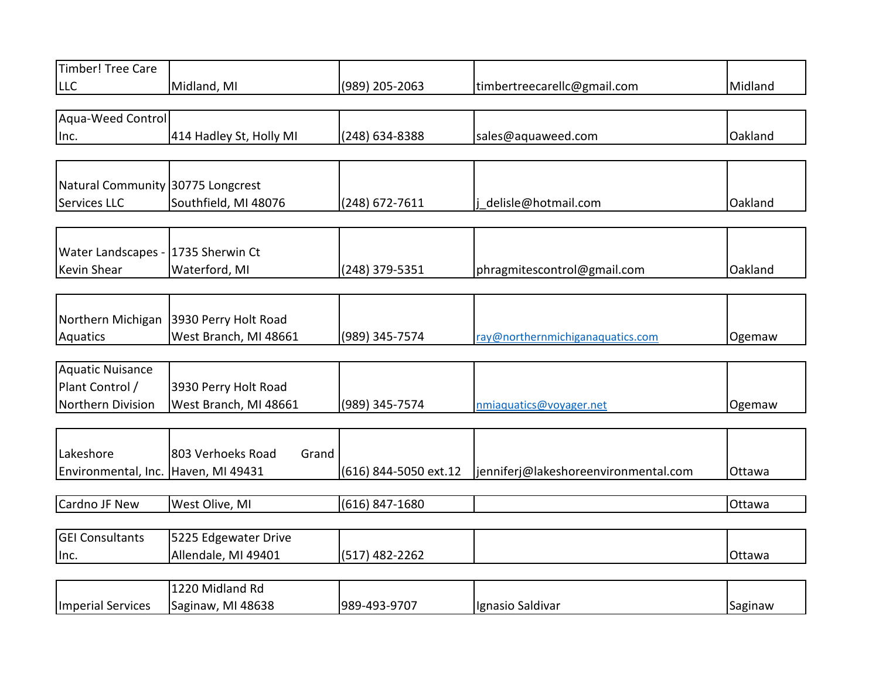| Timber! Tree Care                   |                            |                       |                                      |         |
|-------------------------------------|----------------------------|-----------------------|--------------------------------------|---------|
| LLC                                 | Midland, MI                | (989) 205-2063        | timbertreecarellc@gmail.com          | Midland |
|                                     |                            |                       |                                      |         |
| Aqua-Weed Control                   |                            |                       |                                      |         |
| Inc.                                | 414 Hadley St, Holly MI    | (248) 634-8388        | sales@aquaweed.com                   | Oakland |
|                                     |                            |                       |                                      |         |
|                                     |                            |                       |                                      |         |
| Natural Community 30775 Longcrest   |                            |                       |                                      |         |
| Services LLC                        | Southfield, MI 48076       | (248) 672-7611        | delisle@hotmail.com                  | Oakland |
|                                     |                            |                       |                                      |         |
|                                     |                            |                       |                                      |         |
| Water Landscapes - 1735 Sherwin Ct  |                            |                       |                                      |         |
| <b>Kevin Shear</b>                  | Waterford, MI              | (248) 379-5351        | phragmitescontrol@gmail.com          | Oakland |
|                                     |                            |                       |                                      |         |
| Northern Michigan                   | 3930 Perry Holt Road       |                       |                                      |         |
| Aquatics                            | West Branch, MI 48661      | (989) 345-7574        | ray@northernmichiganaquatics.com     | Ogemaw  |
|                                     |                            |                       |                                      |         |
| Aquatic Nuisance                    |                            |                       |                                      |         |
| Plant Control /                     | 3930 Perry Holt Road       |                       |                                      |         |
| Northern Division                   | West Branch, MI 48661      | (989) 345-7574        | nmiaquatics@voyager.net              | Ogemaw  |
|                                     |                            |                       |                                      |         |
|                                     |                            |                       |                                      |         |
| Lakeshore                           | 803 Verhoeks Road<br>Grand |                       |                                      |         |
| Environmental, Inc. Haven, MI 49431 |                            | (616) 844-5050 ext.12 | jenniferj@lakeshoreenvironmental.com | Ottawa  |
|                                     |                            |                       |                                      |         |
| Cardno JF New                       | West Olive, MI             | $(616)$ 847-1680      |                                      | Ottawa  |
|                                     |                            |                       |                                      |         |
| <b>GEI Consultants</b>              | 5225 Edgewater Drive       |                       |                                      |         |
| Inc.                                | Allendale, MI 49401        | $(517)$ 482-2262      |                                      | Ottawa  |
|                                     |                            |                       |                                      |         |
|                                     | 1220 Midland Rd            |                       |                                      |         |

|                                       | 1220 Midland Rd |              |                  |         |
|---------------------------------------|-----------------|--------------|------------------|---------|
| Imperial Services   Saginaw, MI 48638 |                 | 989-493-9707 | Ignasio Saldivar | Saginaw |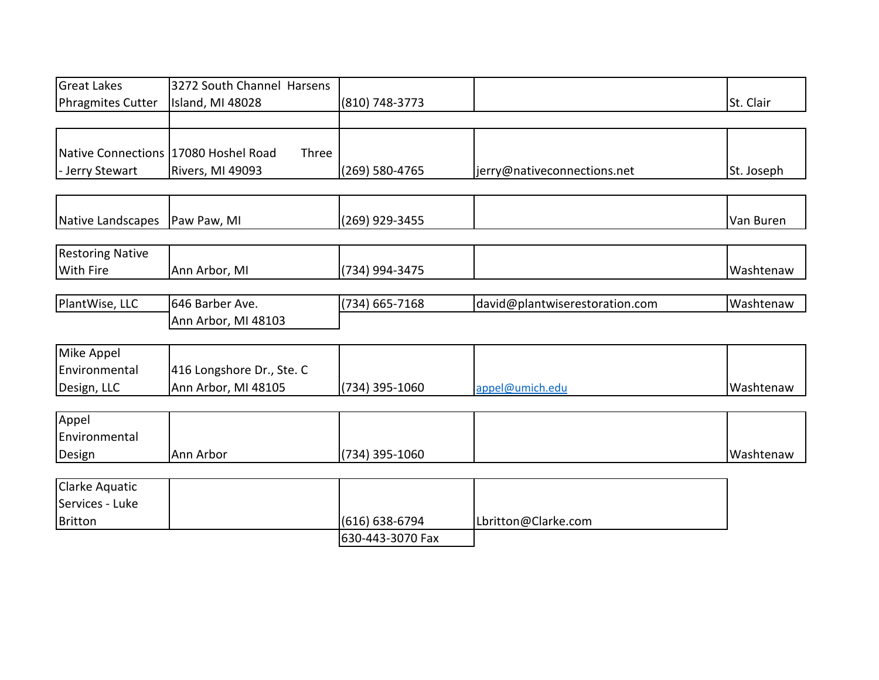| <b>Great Lakes</b>                     | 3272 South Channel Harsens |                  |                                |            |
|----------------------------------------|----------------------------|------------------|--------------------------------|------------|
| <b>Phragmites Cutter</b>               | Island, MI 48028           | (810) 748-3773   |                                | St. Clair  |
|                                        |                            |                  |                                |            |
|                                        |                            |                  |                                |            |
| Native Connections   17080 Hoshel Road | Three                      |                  |                                |            |
| - Jerry Stewart                        | Rivers, MI 49093           | (269) 580-4765   | jerry@nativeconnections.net    | St. Joseph |
|                                        |                            |                  |                                |            |
| Native Landscapes                      | Paw Paw, MI                | (269) 929-3455   |                                | Van Buren  |
|                                        |                            |                  |                                |            |
| <b>Restoring Native</b>                |                            |                  |                                |            |
| With Fire                              | Ann Arbor, MI              | (734) 994-3475   |                                | Washtenaw  |
|                                        |                            |                  |                                |            |
| PlantWise, LLC                         | 646 Barber Ave.            | $(734)$ 665-7168 | david@plantwiserestoration.com | Washtenaw  |
|                                        | Ann Arbor, MI 48103        |                  |                                |            |
|                                        |                            |                  |                                |            |
| Mike Appel                             |                            |                  |                                |            |
| Environmental                          | 416 Longshore Dr., Ste. C  |                  |                                |            |
| Design, LLC                            | Ann Arbor, MI 48105        | (734) 395-1060   | appel@umich.edu                | Washtenaw  |
|                                        |                            |                  |                                |            |
| Appel                                  |                            |                  |                                |            |
| Environmental                          |                            |                  |                                |            |
| Design                                 | Ann Arbor                  | (734) 395-1060   |                                | Washtenaw  |
|                                        |                            |                  |                                |            |
| <b>Clarke Aquatic</b>                  |                            |                  |                                |            |
| Services - Luke                        |                            |                  |                                |            |
| <b>Britton</b>                         |                            | (616) 638-6794   | Lbritton@Clarke.com            |            |
|                                        |                            | 630-443-3070 Fax |                                |            |